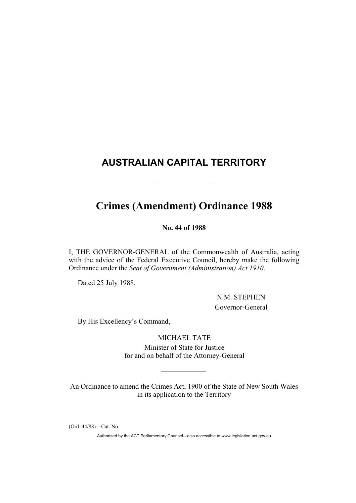## **AUSTRALIAN CAPITAL TERRITORY**

# **Crimes (Amendment) Ordinance 1988**

**No. 44 of 1988**

I, THE GOVERNOR-GENERAL of the Commonwealth of Australia, acting with the advice of the Federal Executive Council, hereby make the following Ordinance under the *Seat of Government (Administration) Act 1910*.

Dated 25 July 1988.

 N.M. STEPHEN Governor-General

By His Excellency's Command,

MICHAEL TATE Minister of State for Justice for and on behalf of the Attorney-General

An Ordinance to amend the Crimes Act, 1900 of the State of New South Wales in its application to the Territory

(Ord. 44/88)—Cat. No.

Authorised by the ACT Parliamentary Counsel—also accessible at www.legislation.act.gov.au